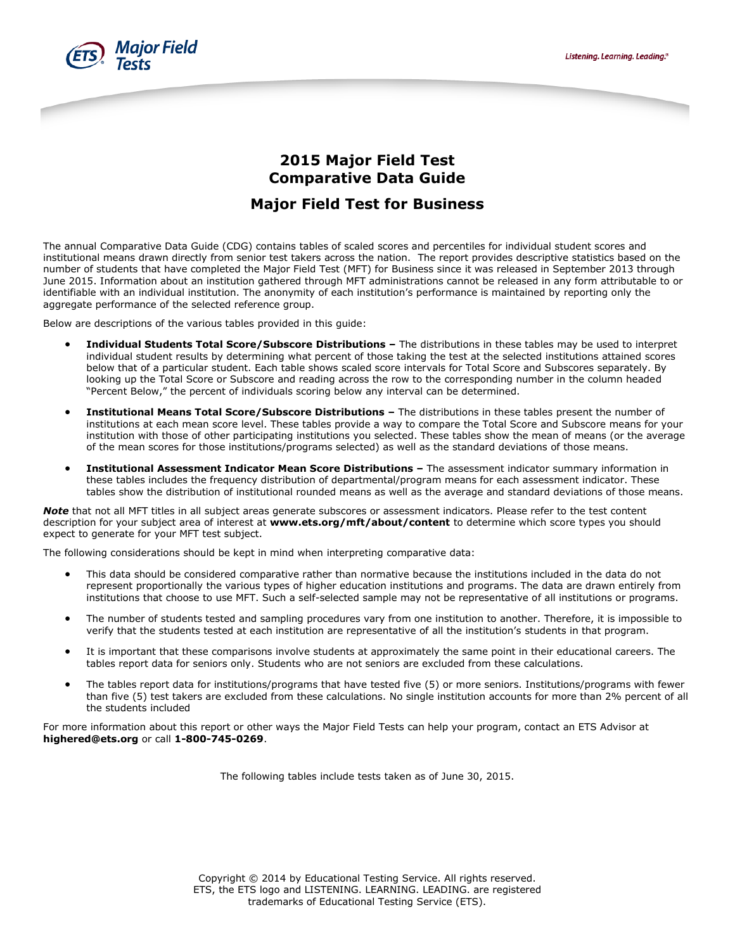



## **2015 Major Field Test Comparative Data Guide**

# **Major Field Test for Business**

The annual Comparative Data Guide (CDG) contains tables of scaled scores and percentiles for individual student scores and institutional means drawn directly from senior test takers across the nation. The report provides descriptive statistics based on the number of students that have completed the Major Field Test (MFT) for Business since it was released in September 2013 through June 2015. Information about an institution gathered through MFT administrations cannot be released in any form attributable to or identifiable with an individual institution. The anonymity of each institution's performance is maintained by reporting only the aggregate performance of the selected reference group.

Below are descriptions of the various tables provided in this guide:

- **Individual Students Total Score/Subscore Distributions –** The distributions in these tables may be used to interpret individual student results by determining what percent of those taking the test at the selected institutions attained scores below that of a particular student. Each table shows scaled score intervals for Total Score and Subscores separately. By looking up the Total Score or Subscore and reading across the row to the corresponding number in the column headed "Percent Below," the percent of individuals scoring below any interval can be determined.
- **Institutional Means Total Score/Subscore Distributions –** The distributions in these tables present the number of institutions at each mean score level. These tables provide a way to compare the Total Score and Subscore means for your institution with those of other participating institutions you selected. These tables show the mean of means (or the average of the mean scores for those institutions/programs selected) as well as the standard deviations of those means.
- **Institutional Assessment Indicator Mean Score Distributions –** The assessment indicator summary information in these tables includes the frequency distribution of departmental/program means for each assessment indicator. These tables show the distribution of institutional rounded means as well as the average and standard deviations of those means.

*Note* that not all MFT titles in all subject areas generate subscores or assessment indicators. Please refer to the test content description for your subject area of interest at **[www.ets.org/mft/about/content](http://www.ets.org/mft/about/content)** to determine which score types you should expect to generate for your MFT test subject.

The following considerations should be kept in mind when interpreting comparative data:

- This data should be considered comparative rather than normative because the institutions included in the data do not represent proportionally the various types of higher education institutions and programs. The data are drawn entirely from institutions that choose to use MFT. Such a self-selected sample may not be representative of all institutions or programs.
- The number of students tested and sampling procedures vary from one institution to another. Therefore, it is impossible to verify that the students tested at each institution are representative of all the institution's students in that program.
- It is important that these comparisons involve students at approximately the same point in their educational careers. The tables report data for seniors only. Students who are not seniors are excluded from these calculations.
- The tables report data for institutions/programs that have tested five (5) or more seniors. Institutions/programs with fewer than five (5) test takers are excluded from these calculations. No single institution accounts for more than 2% percent of all the students included

For more information about this report or other ways the Major Field Tests can help your program, contact an ETS Advisor at **[highered@ets.org](mailto:highered@ets.org)** or call **1-800-745-0269**.

The following tables include tests taken as of June 30, 2015.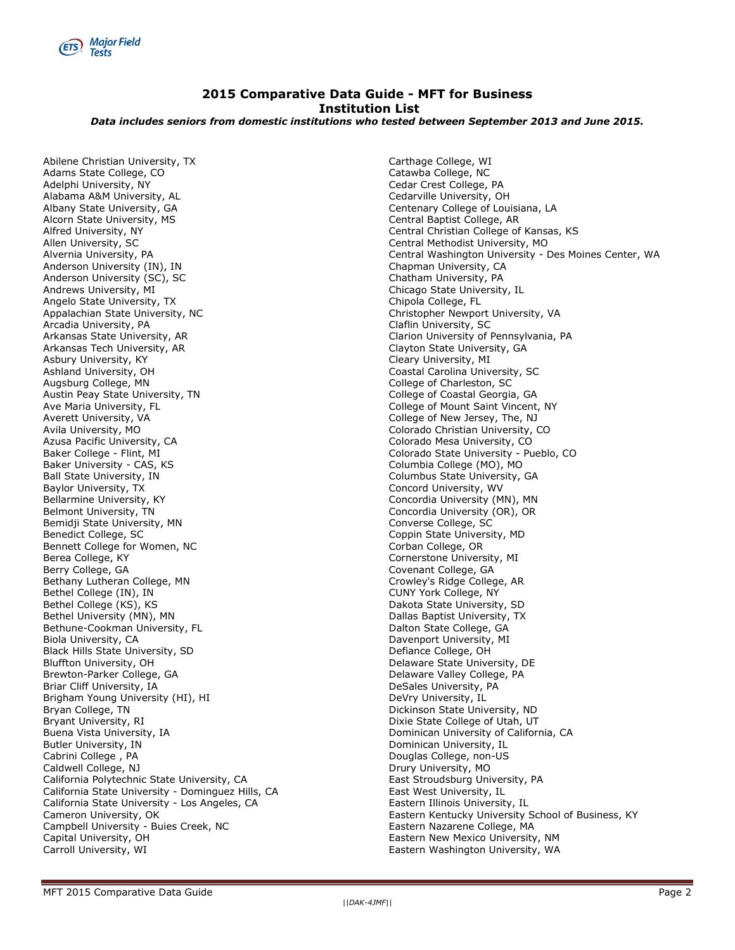

### **2015 Comparative Data Guide - MFT for Business Institution List**

*Data includes seniors from domestic institutions who tested between September 2013 and June 2015.*

Abilene Christian University, TX Adams State College, CO Adelphi University, NY Alabama A&M University, AL Albany State University, GA Alcorn State University, MS Alfred University, NY Allen University, SC Alvernia University, PA Anderson University (IN), IN Anderson University (SC), SC Andrews University, MI Angelo State University, TX Appalachian State University, NC Arcadia University, PA Arkansas State University, AR Arkansas Tech University, AR Asbury University, KY Ashland University, OH Augsburg College, MN Austin Peay State University, TN Ave Maria University, FL Averett University, VA Avila University, MO Azusa Pacific University, CA Baker College - Flint, MI Baker University - CAS, KS Ball State University, IN Baylor University, TX Bellarmine University, KY Belmont University, TN Bemidji State University, MN Benedict College, SC Bennett College for Women, NC Berea College, KY Berry College, GA Bethany Lutheran College, MN Bethel College (IN), IN Bethel College (KS), KS Bethel University (MN), MN Bethune-Cookman University, FL Biola University, CA Black Hills State University, SD Bluffton University, OH Brewton-Parker College, GA Briar Cliff University, IA Brigham Young University (HI), HI Bryan College, TN Bryant University, RI Buena Vista University, IA Butler University, IN Cabrini College , PA Caldwell College, NJ California Polytechnic State University, CA California State University - Dominguez Hills, CA California State University - Los Angeles, CA Cameron University, OK Campbell University - Buies Creek, NC Capital University, OH Carroll University, WI

Carthage College, WI Catawba College, NC Cedar Crest College, PA Cedarville University, OH Centenary College of Louisiana, LA Central Baptist College, AR Central Christian College of Kansas, KS Central Methodist University, MO Central Washington University - Des Moines Center, WA Chapman University, CA Chatham University, PA Chicago State University, IL Chipola College, FL Christopher Newport University, VA Claflin University, SC Clarion University of Pennsylvania, PA Clayton State University, GA Cleary University, MI Coastal Carolina University, SC College of Charleston, SC College of Coastal Georgia, GA College of Mount Saint Vincent, NY College of New Jersey, The, NJ Colorado Christian University, CO Colorado Mesa University, CO Colorado State University - Pueblo, CO Columbia College (MO), MO Columbus State University, GA Concord University, WV Concordia University (MN), MN Concordia University (OR), OR Converse College, SC Coppin State University, MD Corban College, OR Cornerstone University, MI Covenant College, GA Crowley's Ridge College, AR CUNY York College, NY Dakota State University, SD Dallas Baptist University, TX Dalton State College, GA Davenport University, MI Defiance College, OH Delaware State University, DE Delaware Valley College, PA DeSales University, PA DeVry University, IL Dickinson State University, ND Dixie State College of Utah, UT Dominican University of California, CA Dominican University, IL Douglas College, non-US Drury University, MO East Stroudsburg University, PA East West University, IL Eastern Illinois University, IL Eastern Kentucky University School of Business, KY Eastern Nazarene College, MA Eastern New Mexico University, NM Eastern Washington University, WA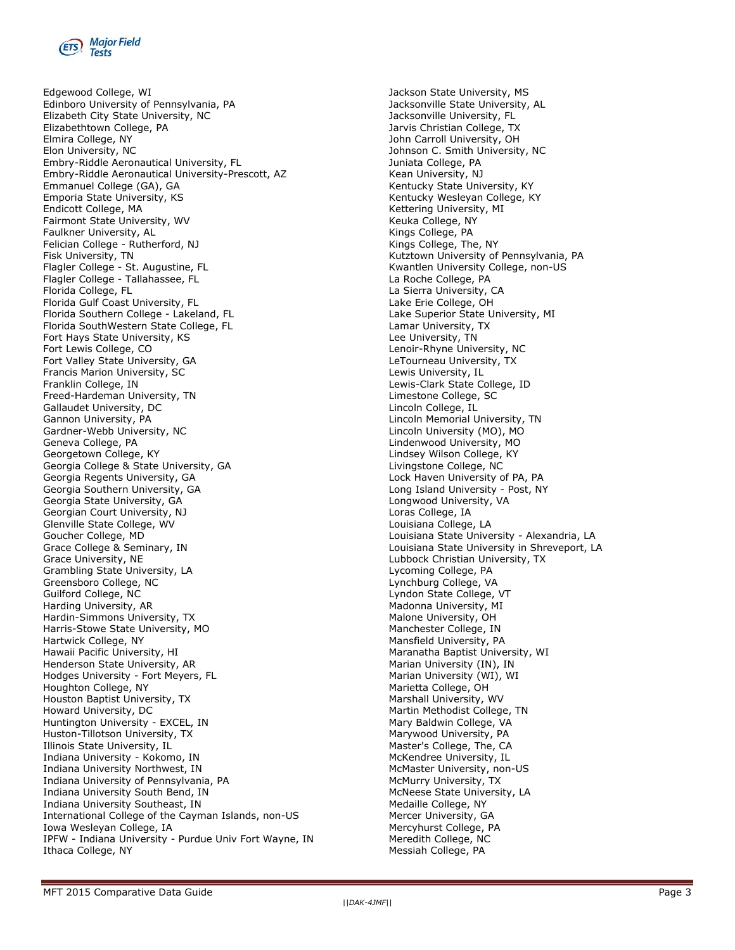

Edgewood College, WI Edinboro University of Pennsylvania, PA Elizabeth City State University, NC Elizabethtown College, PA Elmira College, NY Elon University, NC Embry-Riddle Aeronautical University, FL Embry-Riddle Aeronautical University-Prescott, AZ Emmanuel College (GA), GA Emporia State University, KS Endicott College, MA Fairmont State University, WV Faulkner University, AL Felician College - Rutherford, NJ Fisk University, TN Flagler College - St. Augustine, FL Flagler College - Tallahassee, FL Florida College, FL Florida Gulf Coast University, FL Florida Southern College - Lakeland, FL Florida SouthWestern State College, FL Fort Hays State University, KS Fort Lewis College, CO Fort Valley State University, GA Francis Marion University, SC Franklin College, IN Freed-Hardeman University, TN Gallaudet University, DC Gannon University, PA Gardner-Webb University, NC Geneva College, PA Georgetown College, KY Georgia College & State University, GA Georgia Regents University, GA Georgia Southern University, GA Georgia State University, GA Georgian Court University, NJ Glenville State College, WV Goucher College, MD Grace College & Seminary, IN Grace University, NE Grambling State University, LA Greensboro College, NC Guilford College, NC Harding University, AR Hardin-Simmons University, TX Harris-Stowe State University, MO Hartwick College, NY Hawaii Pacific University, HI Henderson State University, AR Hodges University - Fort Meyers, FL Houghton College, NY Houston Baptist University, TX Howard University, DC Huntington University - EXCEL, IN Huston-Tillotson University, TX Illinois State University, IL Indiana University - Kokomo, IN Indiana University Northwest, IN Indiana University of Pennsylvania, PA Indiana University South Bend, IN Indiana University Southeast, IN International College of the Cayman Islands, non-US Iowa Wesleyan College, IA IPFW - Indiana University - Purdue Univ Fort Wayne, IN Ithaca College, NY

Jackson State University, MS Jacksonville State University, AL Jacksonville University, FL Jarvis Christian College, TX John Carroll University, OH Johnson C. Smith University, NC Juniata College, PA Kean University, NJ Kentucky State University, KY Kentucky Wesleyan College, KY Kettering University, MI Keuka College, NY Kings College, PA Kings College, The, NY Kutztown University of Pennsylvania, PA Kwantlen University College, non-US La Roche College, PA La Sierra University, CA Lake Erie College, OH Lake Superior State University, MI Lamar University, TX Lee University, TN Lenoir-Rhyne University, NC LeTourneau University, TX Lewis University, IL Lewis-Clark State College, ID Limestone College, SC Lincoln College, IL Lincoln Memorial University, TN Lincoln University (MO), MO Lindenwood University, MO Lindsey Wilson College, KY Livingstone College, NC Lock Haven University of PA, PA Long Island University - Post, NY Longwood University, VA Loras College, IA Louisiana College, LA Louisiana State University - Alexandria, LA Louisiana State University in Shreveport, LA Lubbock Christian University, TX Lycoming College, PA Lynchburg College, VA Lyndon State College, VT Madonna University, MI Malone University, OH Manchester College, IN Mansfield University, PA Maranatha Baptist University, WI Marian University (IN), IN Marian University (WI), WI Marietta College, OH Marshall University, WV Martin Methodist College, TN Mary Baldwin College, VA Marywood University, PA Master's College, The, CA McKendree University, IL McMaster University, non-US McMurry University, TX McNeese State University, LA Medaille College, NY Mercer University, GA Mercyhurst College, PA Meredith College, NC Messiah College, PA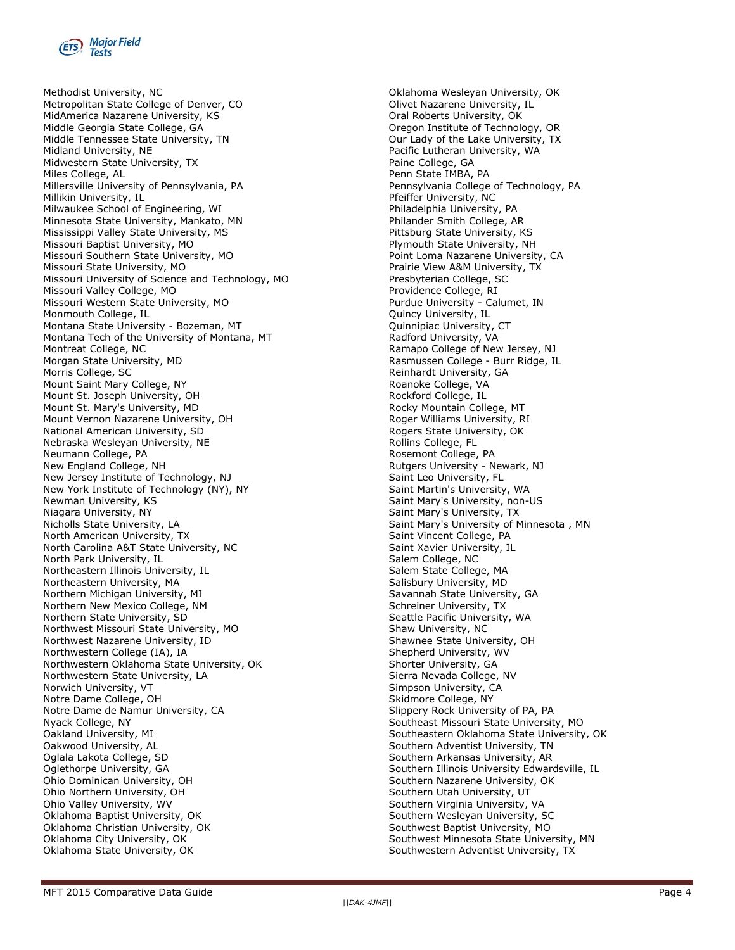

Methodist University, NC Metropolitan State College of Denver, CO MidAmerica Nazarene University, KS Middle Georgia State College, GA Middle Tennessee State University, TN Midland University, NE Midwestern State University, TX Miles College, AL Millersville University of Pennsylvania, PA Millikin University, IL Milwaukee School of Engineering, WI Minnesota State University, Mankato, MN Mississippi Valley State University, MS Missouri Baptist University, MO Missouri Southern State University, MO Missouri State University, MO Missouri University of Science and Technology, MO Missouri Valley College, MO Missouri Western State University, MO Monmouth College, IL Montana State University - Bozeman, MT Montana Tech of the University of Montana, MT Montreat College, NC Morgan State University, MD Morris College, SC Mount Saint Mary College, NY Mount St. Joseph University, OH Mount St. Mary's University, MD Mount Vernon Nazarene University, OH National American University, SD Nebraska Wesleyan University, NE Neumann College, PA New England College, NH New Jersey Institute of Technology, NJ New York Institute of Technology (NY), NY Newman University, KS Niagara University, NY Nicholls State University, LA North American University, TX North Carolina A&T State University, NC North Park University, IL Northeastern Illinois University, IL Northeastern University, MA Northern Michigan University, MI Northern New Mexico College, NM Northern State University, SD Northwest Missouri State University, MO Northwest Nazarene University, ID Northwestern College (IA), IA Northwestern Oklahoma State University, OK Northwestern State University, LA Norwich University, VT Notre Dame College, OH Notre Dame de Namur University, CA Nyack College, NY Oakland University, MI Oakwood University, AL Oglala Lakota College, SD Oglethorpe University, GA Ohio Dominican University, OH Ohio Northern University, OH Ohio Valley University, WV Oklahoma Baptist University, OK Oklahoma Christian University, OK Oklahoma City University, OK Oklahoma State University, OK

Oklahoma Wesleyan University, OK Olivet Nazarene University, IL Oral Roberts University, OK Oregon Institute of Technology, OR Our Lady of the Lake University, TX Pacific Lutheran University, WA Paine College, GA Penn State IMBA, PA Pennsylvania College of Technology, PA Pfeiffer University, NC Philadelphia University, PA Philander Smith College, AR Pittsburg State University, KS Plymouth State University, NH Point Loma Nazarene University, CA Prairie View A&M University, TX Presbyterian College, SC Providence College, RI Purdue University - Calumet, IN Quincy University, IL Quinnipiac University, CT Radford University, VA Ramapo College of New Jersey, NJ Rasmussen College - Burr Ridge, IL Reinhardt University, GA Roanoke College, VA Rockford College, IL Rocky Mountain College, MT Roger Williams University, RI Rogers State University, OK Rollins College, FL Rosemont College, PA Rutgers University - Newark, NJ Saint Leo University, FL Saint Martin's University, WA Saint Mary's University, non-US Saint Mary's University, TX Saint Mary's University of Minnesota , MN Saint Vincent College, PA Saint Xavier University, IL Salem College, NC Salem State College, MA Salisbury University, MD Savannah State University, GA Schreiner University, TX Seattle Pacific University, WA Shaw University, NC Shawnee State University, OH Shepherd University, WV Shorter University, GA Sierra Nevada College, NV Simpson University, CA Skidmore College, NY Slippery Rock University of PA, PA Southeast Missouri State University, MO Southeastern Oklahoma State University, OK Southern Adventist University, TN Southern Arkansas University, AR Southern Illinois University Edwardsville, IL Southern Nazarene University, OK Southern Utah University, UT Southern Virginia University, VA Southern Wesleyan University, SC Southwest Baptist University, MO Southwest Minnesota State University, MN Southwestern Adventist University, TX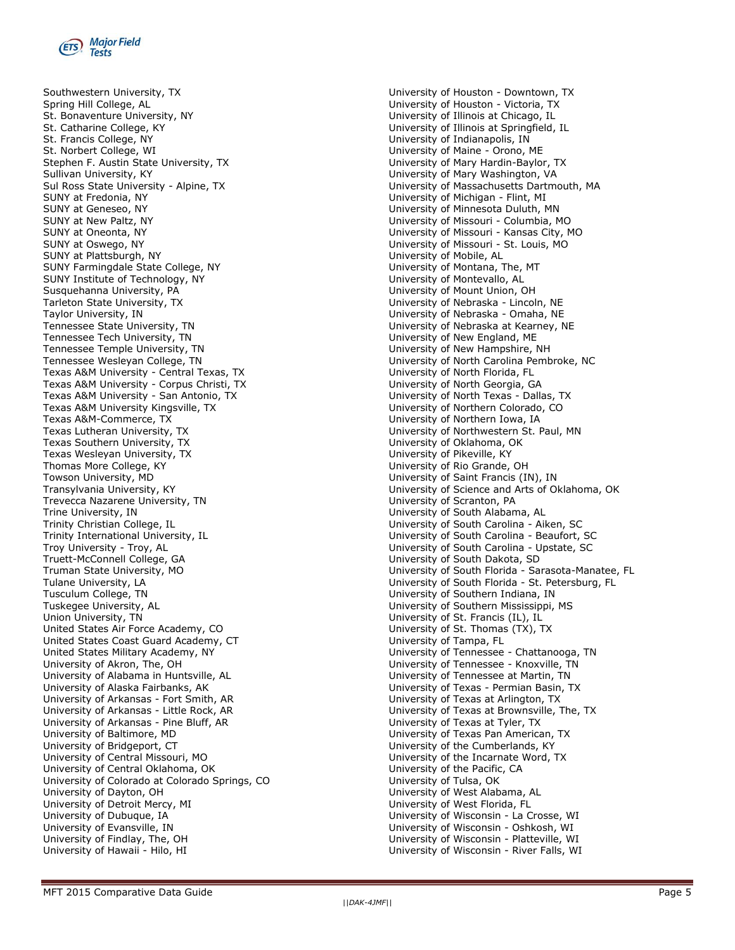

Southwestern University, TX Spring Hill College, AL St. Bonaventure University, NY St. Catharine College, KY St. Francis College, NY St. Norbert College, WI Stephen F. Austin State University, TX Sullivan University, KY Sul Ross State University - Alpine, TX SUNY at Fredonia, NY SUNY at Geneseo, NY SUNY at New Paltz, NY SUNY at Oneonta, NY SUNY at Oswego, NY SUNY at Plattsburgh, NY SUNY Farmingdale State College, NY SUNY Institute of Technology, NY Susquehanna University, PA Tarleton State University, TX Taylor University, IN Tennessee State University, TN Tennessee Tech University, TN Tennessee Temple University, TN Tennessee Wesleyan College, TN Texas A&M University - Central Texas, TX Texas A&M University - Corpus Christi, TX Texas A&M University - San Antonio, TX Texas A&M University Kingsville, TX Texas A&M-Commerce, TX Texas Lutheran University, TX Texas Southern University, TX Texas Wesleyan University, TX Thomas More College, KY Towson University, MD Transylvania University, KY Trevecca Nazarene University, TN Trine University, IN Trinity Christian College, IL Trinity International University, IL Troy University - Troy, AL Truett-McConnell College, GA Truman State University, MO Tulane University, LA Tusculum College, TN Tuskegee University, AL Union University, TN United States Air Force Academy, CO United States Coast Guard Academy, CT United States Military Academy, NY University of Akron, The, OH University of Alabama in Huntsville, AL University of Alaska Fairbanks, AK University of Arkansas - Fort Smith, AR University of Arkansas - Little Rock, AR University of Arkansas - Pine Bluff, AR University of Baltimore, MD University of Bridgeport, CT University of Central Missouri, MO University of Central Oklahoma, OK University of Colorado at Colorado Springs, CO University of Dayton, OH University of Detroit Mercy, MI University of Dubuque, IA University of Evansville, IN University of Findlay, The, OH University of Hawaii - Hilo, HI

University of Houston - Downtown, TX University of Houston - Victoria, TX University of Illinois at Chicago, IL University of Illinois at Springfield, IL University of Indianapolis, IN University of Maine - Orono, ME University of Mary Hardin-Baylor, TX University of Mary Washington, VA University of Massachusetts Dartmouth, MA University of Michigan - Flint, MI University of Minnesota Duluth, MN University of Missouri - Columbia, MO University of Missouri - Kansas City, MO University of Missouri - St. Louis, MO University of Mobile, AL University of Montana, The, MT University of Montevallo, AL University of Mount Union, OH University of Nebraska - Lincoln, NE University of Nebraska - Omaha, NE University of Nebraska at Kearney, NE University of New England, ME University of New Hampshire, NH University of North Carolina Pembroke, NC University of North Florida, FL University of North Georgia, GA University of North Texas - Dallas, TX University of Northern Colorado, CO University of Northern Iowa, IA University of Northwestern St. Paul, MN University of Oklahoma, OK University of Pikeville, KY University of Rio Grande, OH University of Saint Francis (IN), IN University of Science and Arts of Oklahoma, OK University of Scranton, PA University of South Alabama, AL University of South Carolina - Aiken, SC University of South Carolina - Beaufort, SC University of South Carolina - Upstate, SC University of South Dakota, SD University of South Florida - Sarasota-Manatee, FL University of South Florida - St. Petersburg, FL University of Southern Indiana, IN University of Southern Mississippi, MS University of St. Francis (IL), IL University of St. Thomas (TX), TX University of Tampa, FL University of Tennessee - Chattanooga, TN University of Tennessee - Knoxville, TN University of Tennessee at Martin, TN University of Texas - Permian Basin, TX University of Texas at Arlington, TX University of Texas at Brownsville, The, TX University of Texas at Tyler, TX University of Texas Pan American, TX University of the Cumberlands, KY University of the Incarnate Word, TX University of the Pacific, CA University of Tulsa, OK University of West Alabama, AL University of West Florida, FL University of Wisconsin - La Crosse, WI University of Wisconsin - Oshkosh, WI University of Wisconsin - Platteville, WI University of Wisconsin - River Falls, WI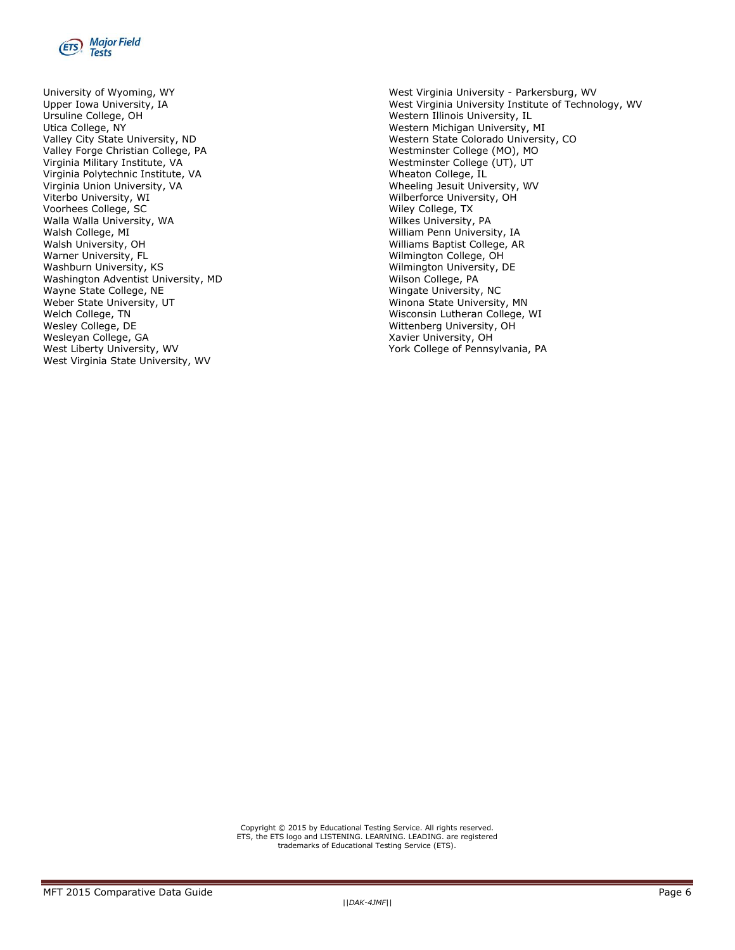

University of Wyoming, WY Upper Iowa University, IA Ursuline College, OH Utica College, NY Valley City State University, ND Valley Forge Christian College, PA Virginia Military Institute, VA Virginia Polytechnic Institute, VA Virginia Union University, VA Viterbo University, WI Voorhees College, SC Walla Walla University, WA Walsh College, MI Walsh University, OH Warner University, FL Washburn University, KS Washington Adventist University, MD Wayne State College, NE Weber State University, UT Welch College, TN Wesley College, DE Wesleyan College, GA West Liberty University, WV West Virginia State University, WV

West Virginia University - Parkersburg, WV West Virginia University Institute of Technology, WV Western Illinois University, IL Western Michigan University, MI Western State Colorado University, CO Westminster College (MO), MO Westminster College (UT), UT Wheaton College, IL Wheeling Jesuit University, WV Wilberforce University, OH Wiley College, TX Wilkes University, PA William Penn University, IA Williams Baptist College, AR Wilmington College, OH Wilmington University, DE Wilson College, PA Wingate University, NC Winona State University, MN Wisconsin Lutheran College, WI Wittenberg University, OH Xavier University, OH York College of Pennsylvania, PA

Copyright © 2015 by Educational Testing Service. All rights reserved. ETS, the ETS logo and LISTENING. LEARNING. LEADING. are registered trademarks of Educational Testing Service (ETS).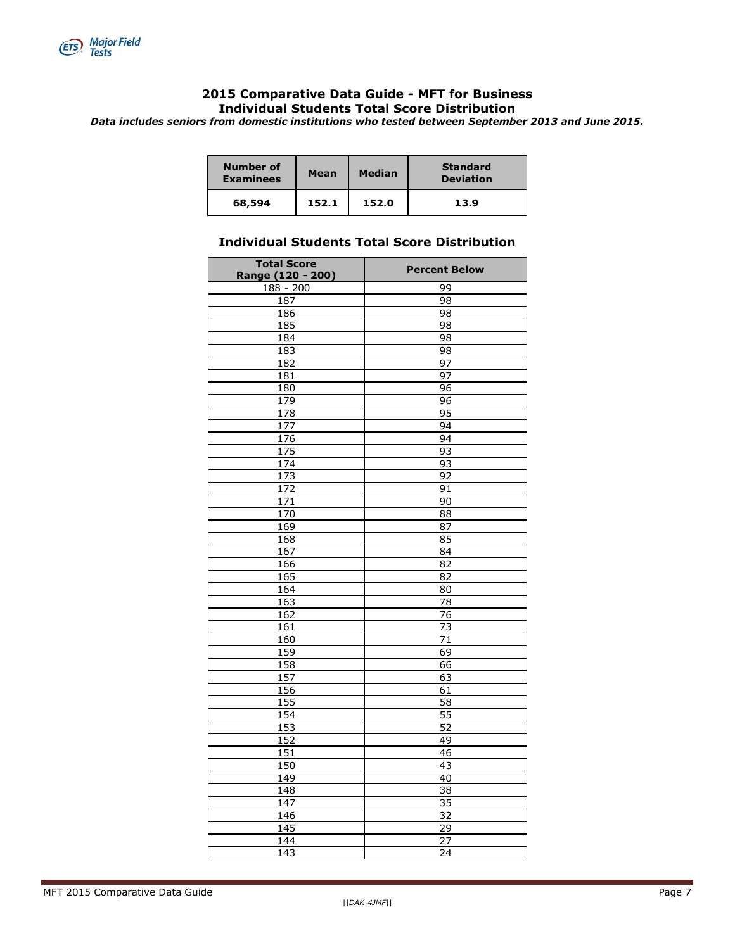

### **Comparative Data Guide - MFT for Business Individual Students Total Score Distribution**

*Data includes seniors from domestic institutions who tested between September 2013 and June 2015.*

| Number of<br><b>Examinees</b> | Mean  | <b>Median</b> | <b>Standard</b><br><b>Deviation</b> |  |  |  |
|-------------------------------|-------|---------------|-------------------------------------|--|--|--|
| 68,594                        | 152.1 | 152.0         | 13.9                                |  |  |  |

### **Individual Students Total Score Distribution**

| <b>Total Score</b><br>Range (120 - 200) | <b>Percent Below</b> |
|-----------------------------------------|----------------------|
| $188 - 200$                             | 99                   |
| 187                                     | 98                   |
| 186                                     | 98                   |
| 185                                     | 98                   |
| 184                                     | 98                   |
| 183                                     | 98                   |
| 182                                     | $\overline{97}$      |
| 181                                     | 97                   |
| 180                                     | $\overline{96}$      |
| 179                                     | 96                   |
| 178                                     | 95                   |
| 177                                     | 94                   |
| 176                                     | 94                   |
| $\frac{1}{2}$                           | 93                   |
| $\overline{174}$                        | 93                   |
| $\overline{173}$                        | 92                   |
| 172                                     | 91                   |
| $\overline{171}$                        | 90                   |
| 170                                     | $\overline{88}$      |
| 169                                     | 87                   |
| 168                                     | 85                   |
| 167                                     | 84                   |
| 166                                     | 82                   |
| 165                                     | $\overline{82}$      |
| 164                                     | $\overline{80}$      |
| 163                                     | 78                   |
| 162                                     | $\overline{76}$      |
| 161                                     | $\overline{73}$      |
| 160                                     | $\overline{71}$      |
| 159                                     | 69                   |
| 158                                     | 66                   |
| 157                                     | 63                   |
| 156                                     | 61                   |
| 155                                     | $\overline{58}$      |
| 154                                     | $\overline{55}$      |
| 153                                     | 52                   |
| 152                                     | 49                   |
| 151                                     | 46                   |
| 150                                     | 43                   |
| 149                                     | 40                   |
| 148                                     | 38                   |
| $\overline{147}$                        | $\overline{35}$      |
| 146                                     | 32                   |
| 145                                     | $\overline{29}$      |
| 144                                     | 27                   |
| 143                                     | 24                   |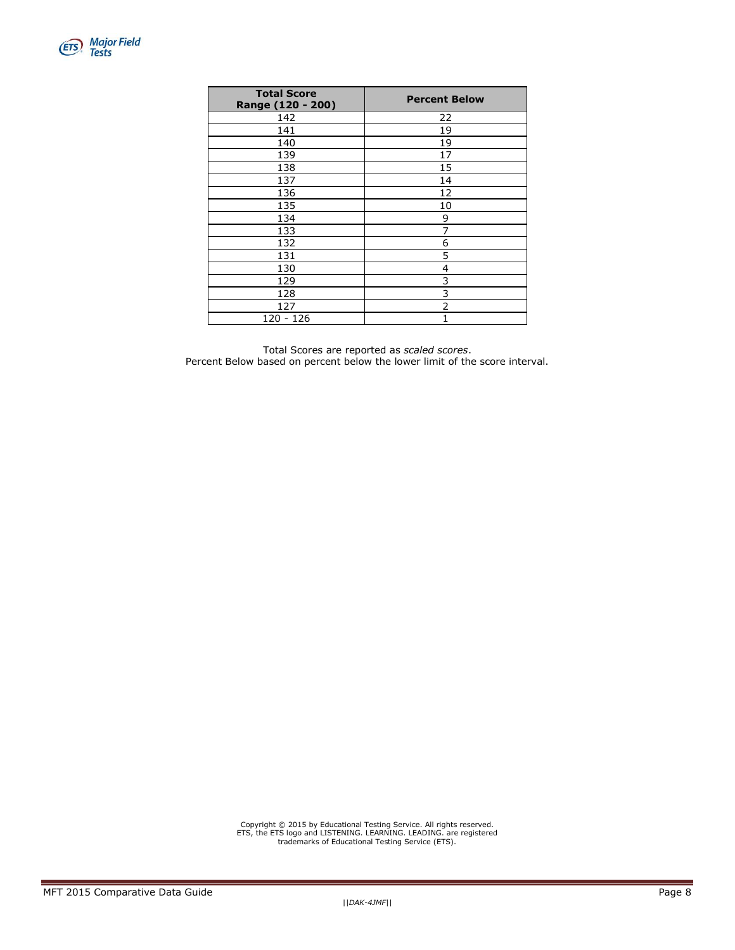| <b>Total Score</b><br>Range (120 - 200) | <b>Percent Below</b> |
|-----------------------------------------|----------------------|
| 142                                     | 22                   |
| 141                                     | 19                   |
| 140                                     | 19                   |
| 139                                     | 17                   |
| 138                                     | 15                   |
| 137                                     | 14                   |
| 136                                     | 12                   |
| 135                                     | 10                   |
| 134                                     | 9                    |
| 133                                     | 7                    |
| 132                                     | 6                    |
| 131                                     | 5                    |
| 130                                     | 4                    |
| 129                                     | 3                    |
| 128                                     | 3                    |
| 127                                     | 2                    |
| 120 - 126                               |                      |

Total Scores are reported as *scaled scores*. Percent Below based on percent below the lower limit of the score interval.

Copyright © 2015 by Educational Testing Service. All rights reserved. ETS, the ETS logo and LISTENING. LEARNING. LEADING. are registered trademarks of Educational Testing Service (ETS).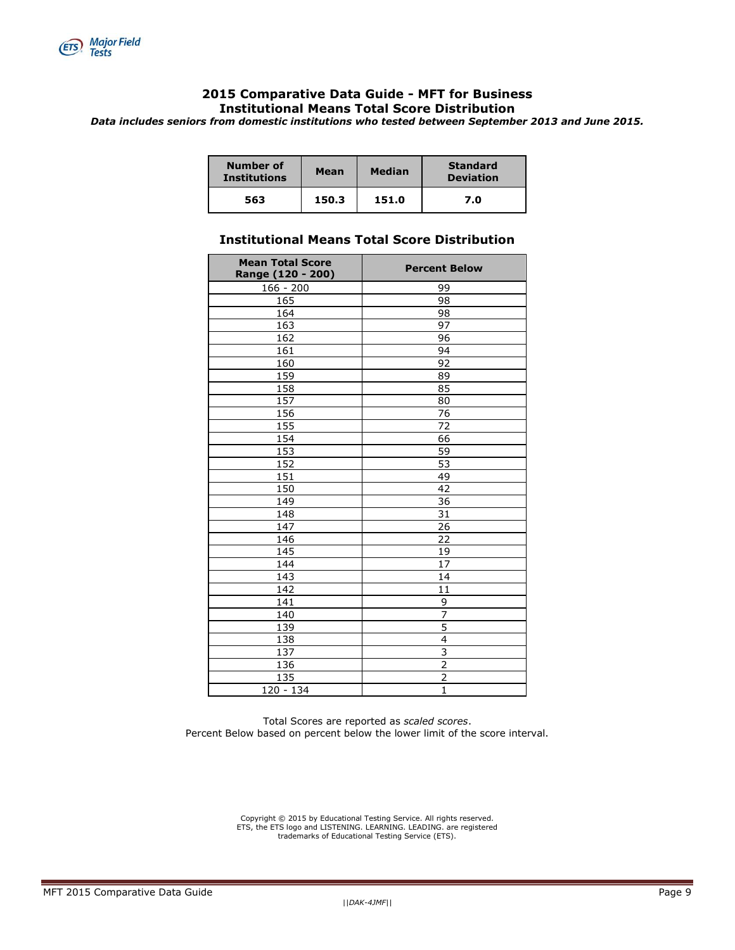

### **Comparative Data Guide - MFT for Business Institutional Means Total Score Distribution**

*Data includes seniors from domestic institutions who tested between September 2013 and June 2015.*

| <b>Number of</b><br><b>Institutions</b> | Mean  | <b>Median</b> | <b>Standard</b><br><b>Deviation</b> |
|-----------------------------------------|-------|---------------|-------------------------------------|
| 563                                     | 150.3 | 151.0         | 7.0                                 |

### **Institutional Means Total Score Distribution**

| <b>Mean Total Score</b><br>Range (120 - 200) | <b>Percent Below</b>    |
|----------------------------------------------|-------------------------|
| $166 - 200$                                  | 99                      |
| 165                                          | 98                      |
| 164                                          | 98                      |
| 163                                          | 97                      |
| 162                                          | 96                      |
| 161                                          | 94                      |
| 160                                          | 92                      |
| 159                                          | 89                      |
| 158                                          | 85                      |
| 157                                          | 80                      |
| 156                                          | 76                      |
| 155                                          | 72                      |
| 154                                          | 66                      |
| 153                                          | 59                      |
| 152                                          | 53                      |
| 151                                          | 49                      |
| 150                                          | 42                      |
| 149                                          | $\overline{36}$         |
| 148                                          | 31                      |
| 147                                          | $\overline{26}$         |
| 146                                          | 22                      |
| 145                                          | 19                      |
| 144                                          | 17                      |
| 143                                          | 14                      |
| 142                                          | 11                      |
| $\overline{141}$                             | $\overline{9}$          |
| 140                                          | $\overline{7}$          |
| 139                                          | $\overline{5}$          |
| 138                                          | $\overline{\mathbf{4}}$ |
| 137                                          | $\overline{3}$          |
| 136                                          | $\overline{2}$          |
| 135                                          | $\overline{2}$          |
| 120 - 134                                    | $\mathbf{1}$            |

Total Scores are reported as *scaled scores*. Percent Below based on percent below the lower limit of the score interval.

Copyright © 2015 by Educational Testing Service. All rights reserved. ETS, the ETS logo and LISTENING. LEARNING. LEADING. are registered trademarks of Educational Testing Service (ETS).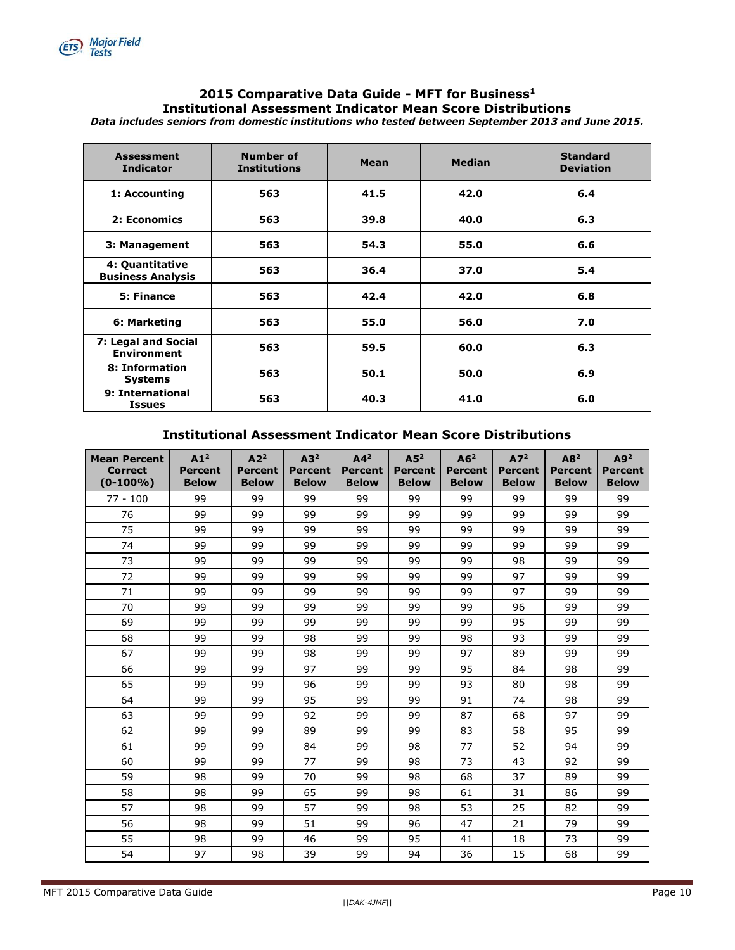

#### **2015 Comparative Data Guide - MFT for Business<sup>1</sup> Institutional Assessment Indicator Mean Score Distributions** *Data includes seniors from domestic institutions who tested between September 2013 and June 2015.*

| <b>Assessment</b><br><b>Indicator</b>       | <b>Number of</b><br><b>Institutions</b> | Mean | <b>Median</b> | <b>Standard</b><br><b>Deviation</b> |  |
|---------------------------------------------|-----------------------------------------|------|---------------|-------------------------------------|--|
| 1: Accounting                               | 563                                     | 41.5 | 42.0          | 6.4                                 |  |
| 2: Economics                                | 563                                     | 39.8 | 40.0          | 6.3                                 |  |
| 3: Management                               | 563                                     | 54.3 | 55.0          | 6.6                                 |  |
| 4: Quantitative<br><b>Business Analysis</b> | 563                                     | 36.4 | 37.0          | 5.4                                 |  |
| 5: Finance                                  | 563                                     | 42.4 | 42.0          | 6.8                                 |  |
| 6: Marketing                                | 563                                     | 55.0 | 56.0          | 7.0                                 |  |
| 7: Legal and Social<br><b>Environment</b>   | 563                                     | 59.5 | 60.0          | 6.3                                 |  |
| 8: Information<br><b>Systems</b>            | 563                                     | 50.1 | 50.0          | 6.9                                 |  |
| 9: International<br><b>Issues</b>           | 563                                     | 40.3 | 41.0          | 6.0                                 |  |

#### **Institutional Assessment Indicator Mean Score Distributions**

| <b>Mean Percent</b><br><b>Correct</b><br>$(0-100\%)$ | A1 <sup>2</sup><br><b>Percent</b><br><b>Below</b> | A2 <sup>2</sup><br><b>Percent</b><br><b>Below</b> | A3 <sup>2</sup><br><b>Percent</b><br><b>Below</b> | A4 <sup>2</sup><br><b>Percent</b><br><b>Below</b> | A5 <sup>2</sup><br><b>Percent</b><br><b>Below</b> | A6 <sup>2</sup><br>Percent<br><b>Below</b> | A7 <sup>2</sup><br><b>Percent</b><br><b>Below</b> | A8 <sup>2</sup><br><b>Percent</b><br><b>Below</b> | A9 <sup>2</sup><br><b>Percent</b><br><b>Below</b> |
|------------------------------------------------------|---------------------------------------------------|---------------------------------------------------|---------------------------------------------------|---------------------------------------------------|---------------------------------------------------|--------------------------------------------|---------------------------------------------------|---------------------------------------------------|---------------------------------------------------|
| $77 - 100$                                           | 99                                                | 99                                                | 99                                                | 99                                                | 99                                                | 99                                         | 99                                                | 99                                                | 99                                                |
| 76                                                   | 99                                                | 99                                                | 99                                                | 99                                                | 99                                                | 99                                         | 99                                                | 99                                                | 99                                                |
| 75                                                   | 99                                                | 99                                                | 99                                                | 99                                                | 99                                                | 99                                         | 99                                                | 99                                                | 99                                                |
| 74                                                   | 99                                                | 99                                                | 99                                                | 99                                                | 99                                                | 99                                         | 99                                                | 99                                                | 99                                                |
| 73                                                   | 99                                                | 99                                                | 99                                                | 99                                                | 99                                                | 99                                         | 98                                                | 99                                                | 99                                                |
| 72                                                   | 99                                                | 99                                                | 99                                                | 99                                                | 99                                                | 99                                         | 97                                                | 99                                                | 99                                                |
| 71                                                   | 99                                                | 99                                                | 99                                                | 99                                                | 99                                                | 99                                         | 97                                                | 99                                                | 99                                                |
| 70                                                   | 99                                                | 99                                                | 99                                                | 99                                                | 99                                                | 99                                         | 96                                                | 99                                                | 99                                                |
| 69                                                   | 99                                                | 99                                                | 99                                                | 99                                                | 99                                                | 99                                         | 95                                                | 99                                                | 99                                                |
| 68                                                   | 99                                                | 99                                                | 98                                                | 99                                                | 99                                                | 98                                         | 93                                                | 99                                                | 99                                                |
| 67                                                   | 99                                                | 99                                                | 98                                                | 99                                                | 99                                                | 97                                         | 89                                                | 99                                                | 99                                                |
| 66                                                   | 99                                                | 99                                                | 97                                                | 99                                                | 99                                                | 95                                         | 84                                                | 98                                                | 99                                                |
| 65                                                   | 99                                                | 99                                                | 96                                                | 99                                                | 99                                                | 93                                         | 80                                                | 98                                                | 99                                                |
| 64                                                   | 99                                                | 99                                                | 95                                                | 99                                                | 99                                                | 91                                         | 74                                                | 98                                                | 99                                                |
| 63                                                   | 99                                                | 99                                                | 92                                                | 99                                                | 99                                                | 87                                         | 68                                                | 97                                                | 99                                                |
| 62                                                   | 99                                                | 99                                                | 89                                                | 99                                                | 99                                                | 83                                         | 58                                                | 95                                                | 99                                                |
| 61                                                   | 99                                                | 99                                                | 84                                                | 99                                                | 98                                                | 77                                         | 52                                                | 94                                                | 99                                                |
| 60                                                   | 99                                                | 99                                                | 77                                                | 99                                                | 98                                                | 73                                         | 43                                                | 92                                                | 99                                                |
| 59                                                   | 98                                                | 99                                                | 70                                                | 99                                                | 98                                                | 68                                         | 37                                                | 89                                                | 99                                                |
| 58                                                   | 98                                                | 99                                                | 65                                                | 99                                                | 98                                                | 61                                         | 31                                                | 86                                                | 99                                                |
| 57                                                   | 98                                                | 99                                                | 57                                                | 99                                                | 98                                                | 53                                         | 25                                                | 82                                                | 99                                                |
| 56                                                   | 98                                                | 99                                                | 51                                                | 99                                                | 96                                                | 47                                         | 21                                                | 79                                                | 99                                                |
| 55                                                   | 98                                                | 99                                                | 46                                                | 99                                                | 95                                                | 41                                         | 18                                                | 73                                                | 99                                                |
| 54                                                   | 97                                                | 98                                                | 39                                                | 99                                                | 94                                                | 36                                         | 15                                                | 68                                                | 99                                                |